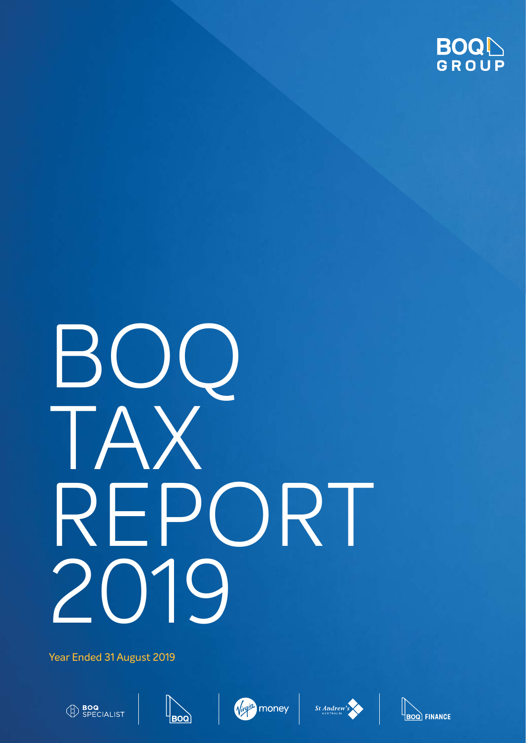

Year Ended 31 August 2019











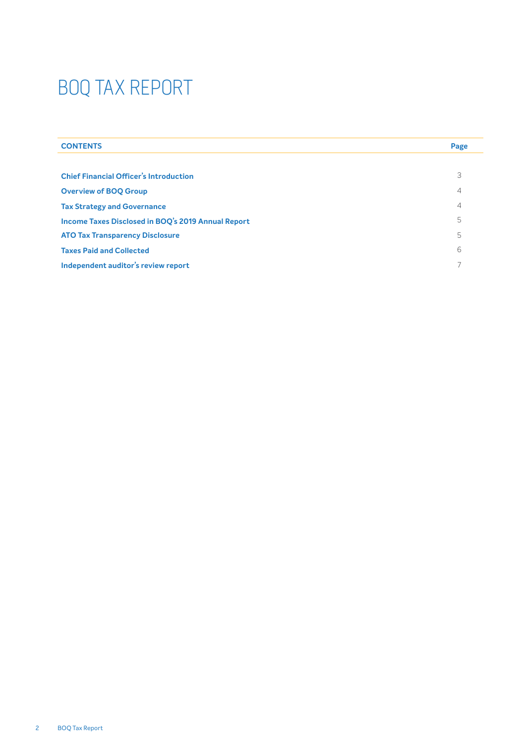| <b>CONTENTS</b>                                    | Page           |
|----------------------------------------------------|----------------|
|                                                    |                |
| <b>Chief Financial Officer's Introduction</b>      | 3              |
| <b>Overview of BOO Group</b>                       | 4              |
| <b>Tax Strategy and Governance</b>                 | $\overline{4}$ |
| Income Taxes Disclosed in BOQ's 2019 Annual Report | 5              |
| <b>ATO Tax Transparency Disclosure</b>             | 5              |
| <b>Taxes Paid and Collected</b>                    | 6              |
| Independent auditor's review report                |                |
|                                                    |                |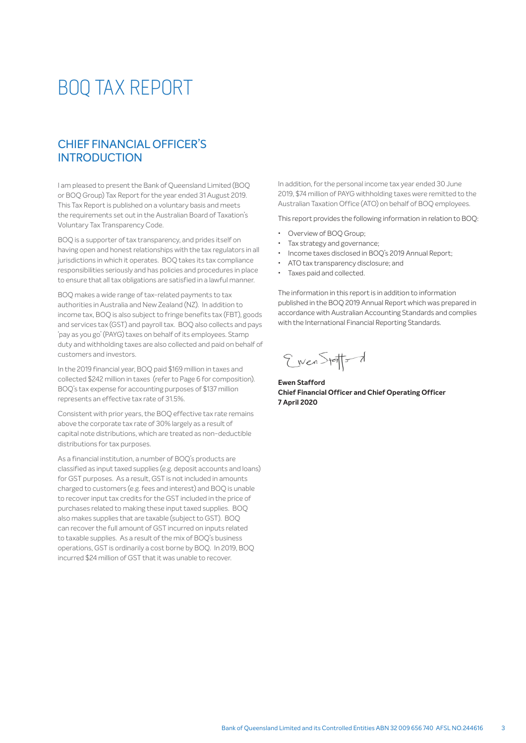## CHIEF FINANCIAL OFFICER'S **INTRODUCTION**

I am pleased to present the Bank of Queensland Limited (BOQ or BOQ Group) Tax Report for the year ended 31 August 2019. This Tax Report is published on a voluntary basis and meets the requirements set out in the Australian Board of Taxation's Voluntary Tax Transparency Code.

BOQ is a supporter of tax transparency, and prides itself on having open and honest relationships with the tax regulators in all jurisdictions in which it operates. BOQ takes its tax compliance responsibilities seriously and has policies and procedures in place to ensure that all tax obligations are satisfied in a lawful manner.

BOQ makes a wide range of tax-related payments to tax authorities in Australia and New Zealand (NZ). In addition to income tax, BOQ is also subject to fringe benefits tax (FBT), goods and services tax (GST) and payroll tax. BOQ also collects and pays 'pay as you go' (PAYG) taxes on behalf of its employees. Stamp duty and withholding taxes are also collected and paid on behalf of customers and investors.

In the 2019 financial year, BOQ paid \$169 million in taxes and collected \$242 million in taxes (refer to Page 6 for composition). BOQ's tax expense for accounting purposes of \$137 million represents an effective tax rate of 31.5%.

Consistent with prior years, the BOQ effective tax rate remains above the corporate tax rate of 30% largely as a result of capital note distributions, which are treated as non-deductible distributions for tax purposes.

As a financial institution, a number of BOQ's products are classified as input taxed supplies (e.g. deposit accounts and loans) for GST purposes. As a result, GST is not included in amounts charged to customers (e.g. fees and interest) and BOQ is unable to recover input tax credits for the GST included in the price of purchases related to making these input taxed supplies. BOQ also makes supplies that are taxable (subject to GST). BOQ can recover the full amount of GST incurred on inputs related to taxable supplies. As a result of the mix of BOQ's business operations, GST is ordinarily a cost borne by BOQ. In 2019, BOQ incurred \$24 million of GST that it was unable to recover.

In addition, for the personal income tax year ended 30 June 2019, \$74 million of PAYG withholding taxes were remitted to the Australian Taxation Office (ATO) on behalf of BOQ employees.

This report provides the following information in relation to BOQ:

- Overview of BOO Group:
- Tax strategy and governance;
- Income taxes disclosed in BOQ's 2019 Annual Report;
- ATO tax transparency disclosure; and
- Taxes paid and collected.

The information in this report is in addition to information published in the BOQ 2019 Annual Report which was prepared in accordance with Australian Accounting Standards and complies with the International Financial Reporting Standards.

Eiven Statts d

**Ewen Stafford Chief Financial Officer and Chief Operating Officer 7 April 2020**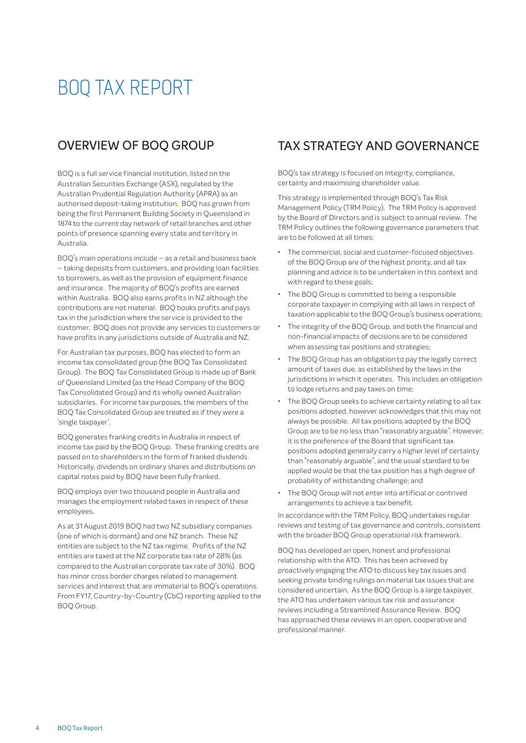## OVERVIEW OF BOQ GROUP

BOQ is a full service financial institution, listed on the Australian Securities Exchange (ASX), regulated by the Australian Prudential Regulation Authority (APRA) as an authorised deposit-taking institution. BOQ has grown from being the first Permanent Building Society in Queensland in 1874 to the current day network of retail branches and other points of presence spanning every state and territory in Australia.

BOQ's main operations include – as a retail and business bank – taking deposits from customers, and providing loan facilities to borrowers, as well as the provision of equipment finance and insurance. The majority of BOQ's profits are earned within Australia. BOQ also earns profits in NZ although the contributions are not material. BOQ books profits and pays tax in the jurisdiction where the service is provided to the customer. BOQ does not provide any services to customers or have profits in any jurisdictions outside of Australia and NZ.

For Australian tax purposes, BOQ has elected to form an income tax consolidated group (the BOQ Tax Consolidated Group). The BOQ Tax Consolidated Group is made up of Bank of Queensland Limited (as the Head Company of the BOQ Tax Consolidated Group) and its wholly owned Australian subsidiaries. For income tax purposes, the members of the BOQ Tax Consolidated Group are treated as if they were a 'single taxpayer'.

BOQ generates franking credits in Australia in respect of income tax paid by the BOQ Group. These franking credits are passed on to shareholders in the form of franked dividends. Historically, dividends on ordinary shares and distributions on capital notes paid by BOQ have been fully franked.

BOQ employs over two thousand people in Australia and manages the employment related taxes in respect of these employees.

As at 31 August 2019 BOQ had two NZ subsidiary companies (one of which is dormant) and one NZ branch. These NZ entities are subject to the NZ tax regime. Profits of the NZ entities are taxed at the NZ corporate tax rate of 28% (as compared to the Australian corporate tax rate of 30%). BOQ has minor cross border charges related to management services and interest that are immaterial to BOQ's operations. From FY17, Country-by-Country (CbC) reporting applied to the BOQ Group.

## TAX STRATEGY AND GOVERNANCE

BOQ's tax strategy is focused on integrity, compliance, certainty and maximising shareholder value.

This strategy is implemented through BOQ's Tax Risk Management Policy (TRM Policy). The TRM Policy is approved by the Board of Directors and is subject to annual review. The TRM Policy outlines the following governance parameters that are to be followed at all times:

- The commercial, social and customer-focused objectives of the BOQ Group are of the highest priority, and all tax planning and advice is to be undertaken in this context and with regard to these goals;
- The BOQ Group is committed to being a responsible corporate taxpayer in complying with all laws in respect of taxation applicable to the BOQ Group's business operations;
- The integrity of the BOQ Group, and both the financial and non-financial impacts of decisions are to be considered when assessing tax positions and strategies;
- The BOQ Group has an obligation to pay the legally correct amount of taxes due, as established by the laws in the jurisdictions in which it operates. This includes an obligation to lodge returns and pay taxes on time;
- The BOQ Group seeks to achieve certainty relating to all tax positions adopted, however acknowledges that this may not always be possible. All tax positions adopted by the BOQ Group are to be no less than "reasonably arguable". However, it is the preference of the Board that significant tax positions adopted generally carry a higher level of certainty than "reasonably arguable", and the usual standard to be applied would be that the tax position has a high degree of probability of withstanding challenge; and
- The BOQ Group will not enter into artificial or contrived arrangements to achieve a tax benefit.

In accordance with the TRM Policy, BOQ undertakes regular reviews and testing of tax governance and controls, consistent with the broader BOQ Group operational risk framework.

BOQ has developed an open, honest and professional relationship with the ATO. This has been achieved by proactively engaging the ATO to discuss key tax issues and seeking private binding rulings on material tax issues that are considered uncertain. As the BOQ Group is a large taxpayer, the ATO has undertaken various tax risk and assurance reviews including a Streamlined Assurance Review. BOQ has approached these reviews in an open, cooperative and professional manner.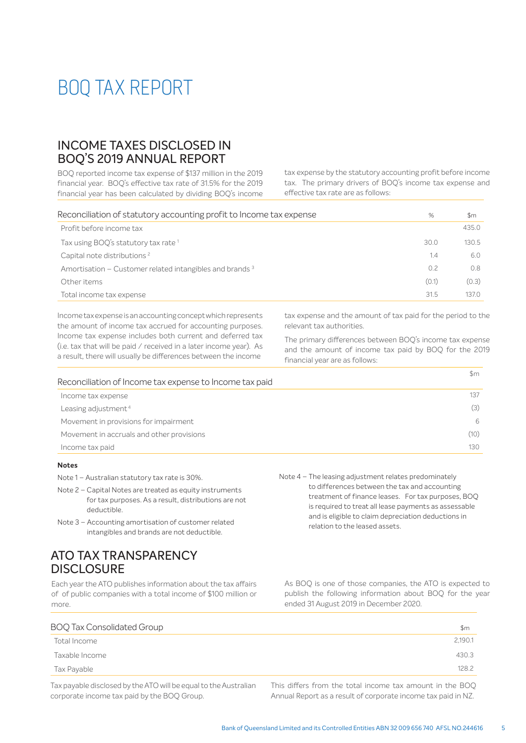## INCOME TAXES DISCLOSED IN BOQ'S 2019 ANNUAL REPORT

BOQ reported income tax expense of \$137 million in the 2019 financial year. BOO's effective tax rate of 31.5% for the 2019 financial year has been calculated by dividing BOQ's income tax expense by the statutory accounting profit before income tax. The primary drivers of BOQ's income tax expense and effective tax rate are as follows:

| Reconciliation of statutory accounting profit to Income tax expense | %     | \$m   |
|---------------------------------------------------------------------|-------|-------|
| Profit before income tax                                            |       | 435.0 |
| Tax using BOQ's statutory tax rate <sup>1</sup>                     | 30.0  | 130.5 |
| Capital note distributions <sup>2</sup>                             | 1.4   | 6.0   |
| Amortisation – Customer related intangibles and brands <sup>3</sup> | 0.2   | 0.8   |
| Other items                                                         | (0.1) | (0.3) |
| Total income tax expense                                            | 31.5  | 1370  |

Income tax expense is an accounting concept which represents the amount of income tax accrued for accounting purposes. Income tax expense includes both current and deferred tax (i.e. tax that will be paid / received in a later income year). As a result, there will usually be differences between the income

tax expense and the amount of tax paid for the period to the relevant tax authorities.

The primary differences between BOQ's income tax expense and the amount of income tax paid by BOQ for the 2019 financial year are as follows:

| Reconciliation of Income tax expense to Income tax paid |      |
|---------------------------------------------------------|------|
| Income tax expense                                      |      |
| Leasing adjustment <sup>4</sup>                         | (3)  |
| Movement in provisions for impairment                   | 6    |
| Movement in accruals and other provisions               | (10) |
| Income tax paid                                         | 130  |

### **Notes**

- Note 1 Australian statutory tax rate is 30%.
- Note 2 Capital Notes are treated as equity instruments for tax purposes. As a result, distributions are not deductible.
- Note 3 Accounting amortisation of customer related intangibles and brands are not deductible.

## ATO TAX TRANSPARENCY **DISCLOSURE**

Each year the ATO publishes information about the tax affairs of of public companies with a total income of \$100 million or more.

 Note 4 – The leasing adjustment relates predominately to differences between the tax and accounting treatment of finance leases. For tax purposes, BOQ is required to treat all lease payments as assessable and is eligible to claim depreciation deductions in relation to the leased assets.

As BOQ is one of those companies, the ATO is expected to publish the following information about BOQ for the year ended 31 August 2019 in December 2020.

| 2,190.1 |
|---------|
| 430.3   |
| 128.2   |
|         |

Tax payable disclosed by the ATO will be equal to the Australian corporate income tax paid by the BOQ Group.

This differs from the total income tax amount in the BOO Annual Report as a result of corporate income tax paid in NZ.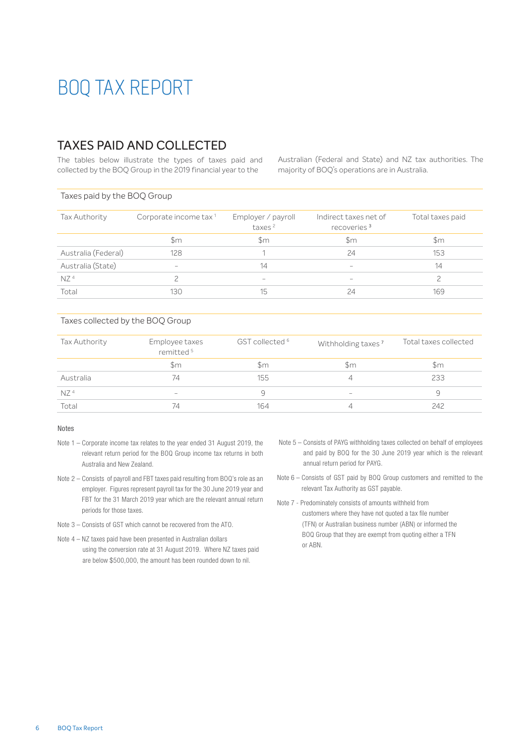## TAXES PAID AND COLLECTED

The tables below illustrate the types of taxes paid and collected by the BOQ Group in the 2019 financial year to the

Australian (Federal and State) and NZ tax authorities. The majority of BOQ's operations are in Australia.

#### Taxes paid by the BOQ Group

| Corporate income tax <sup>1</sup> | Employer / payroll<br>taxes <sup>2</sup> | Indirect taxes net of<br>recoveries <sup>3</sup> | Total taxes paid |
|-----------------------------------|------------------------------------------|--------------------------------------------------|------------------|
| $\mathsf{Sm}$                     | Sm                                       | \$m                                              | \$m              |
| 128                               |                                          | 24                                               | 153              |
| $\qquad \qquad$                   | 14                                       | $\hspace{0.1mm}-\hspace{0.1mm}$                  | 14               |
|                                   | $\overline{\phantom{a}}$                 | $\sim$                                           |                  |
| 130                               | 15                                       | 24                                               | 169              |
|                                   |                                          |                                                  |                  |

#### Taxes collected by the BOQ Group

| Tax Authority   | Employee taxes<br>remitted <sup>5</sup> | GST collected <sup>6</sup> | Withholding taxes <sup>7</sup>  | Total taxes collected |
|-----------------|-----------------------------------------|----------------------------|---------------------------------|-----------------------|
|                 | $\mathsf{Sm}$                           | \$m                        | \$m                             | $\mathsf{Sm}$         |
| Australia       | 74                                      | 155                        |                                 | 233                   |
| NZ <sup>4</sup> | $\hspace{0.1mm}-\hspace{0.1mm}$         | q                          | $\hspace{0.1mm}-\hspace{0.1mm}$ | q                     |
| Total           | 74                                      | 164                        |                                 | 242                   |

#### Notes

- Note 1 Corporate income tax relates to the year ended 31 August 2019, the relevant return period for the BOQ Group income tax returns in both Australia and New Zealand.
- Note 2 Consists of payroll and FBT taxes paid resulting from BOQ's role as an employer. Figures represent payroll tax for the 30 June 2019 year and FBT for the 31 March 2019 year which are the relevant annual return periods for those taxes.
- Note 3 Consists of GST which cannot be recovered from the ATO.
- Note 4 NZ taxes paid have been presented in Australian dollars using the conversion rate at 31 August 2019. Where NZ taxes paid are below \$500,000, the amount has been rounded down to nil.
- Note 5 Consists of PAYG withholding taxes collected on behalf of employees and paid by BOQ for the 30 June 2019 year which is the relevant annual return period for PAYG.
- Note 6 Consists of GST paid by BOQ Group customers and remitted to the relevant Tax Authority as GST payable.
- Note 7 Predominately consists of amounts withheld from customers where they have not quoted a tax file number (TFN) or Australian business number (ABN) or informed the BOQ Group that they are exempt from quoting either a TFN or ABN.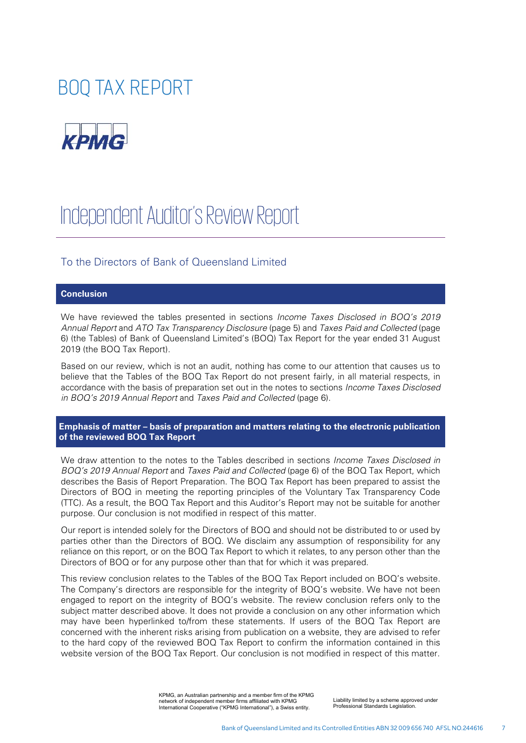

# Independent Auditor's Review Report

To the Directors of Bank of Queensland Limited

#### **Conclusion**

We have reviewed the tables presented in sections *Income Taxes Disclosed in BOQ's 2019 Annual Report* and *ATO Tax Transparency Disclosure* (page 5) and *Taxes Paid and Collected* (page 6) (the Tables) of Bank of Queensland Limited's (BOQ) Tax Report for the year ended 31 August 2019 (the BOQ Tax Report).

Based on our review, which is not an audit, nothing has come to our attention that causes us to believe that the Tables of the BOQ Tax Report do not present fairly, in all material respects, in accordance with the basis of preparation set out in the notes to sections *Income Taxes Disclosed in BOQ's 2019 Annual Report* and *Taxes Paid and Collected* (page 6).

**Emphasis of matter – basis of preparation and matters relating to the electronic publication of the reviewed BOQ Tax Report** 

We draw attention to the notes to the Tables described in sections *Income Taxes Disclosed in BOQ's 2019 Annual Report* and *Taxes Paid and Collected* (page 6) of the BOQ Tax Report, which describes the Basis of Report Preparation. The BOQ Tax Report has been prepared to assist the Directors of BOQ in meeting the reporting principles of the Voluntary Tax Transparency Code (TTC). As a result, the BOQ Tax Report and this Auditor's Report may not be suitable for another purpose. Our conclusion is not modified in respect of this matter.

Our report is intended solely for the Directors of BOQ and should not be distributed to or used by parties other than the Directors of BOQ. We disclaim any assumption of responsibility for any reliance on this report, or on the BOQ Tax Report to which it relates, to any person other than the Directors of BOQ or for any purpose other than that for which it was prepared.

This review conclusion relates to the Tables of the BOQ Tax Report included on BOQ's website. The Company's directors are responsible for the integrity of BOQ's website. We have not been engaged to report on the integrity of BOQ's website. The review conclusion refers only to the subject matter described above. It does not provide a conclusion on any other information which may have been hyperlinked to/from these statements. If users of the BOQ Tax Report are concerned with the inherent risks arising from publication on a website, they are advised to refer to the hard copy of the reviewed BOQ Tax Report to confirm the information contained in this website version of the BOQ Tax Report. Our conclusion is not modified in respect of this matter.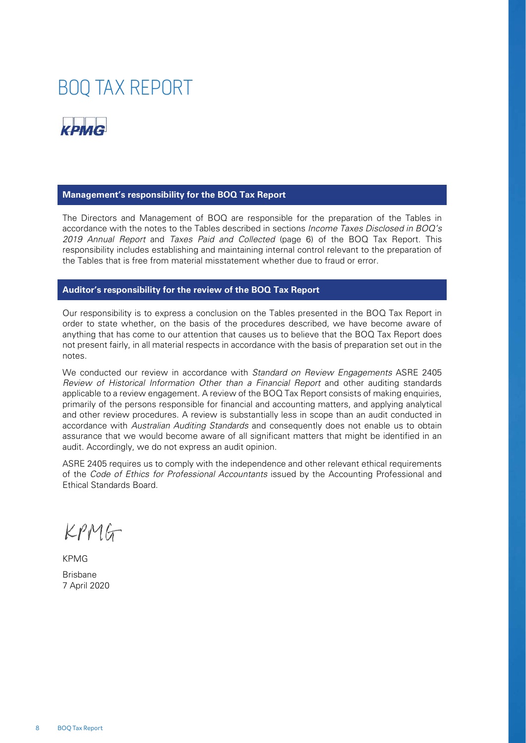

#### **Management's responsibility for the BOQ Tax Report**

The Directors and Management of BOQ are responsible for the preparation of the Tables in accordance with the notes to the Tables described in sections *Income Taxes Disclosed in BOQ's 2019 Annual Report* and *Taxes Paid and Collected* (page 6) of the BOQ Tax Report. This responsibility includes establishing and maintaining internal control relevant to the preparation of the Tables that is free from material misstatement whether due to fraud or error.

#### **Auditor's responsibility for the review of the BOQ Tax Report**

Our responsibility is to express a conclusion on the Tables presented in the BOQ Tax Report in order to state whether, on the basis of the procedures described, we have become aware of anything that has come to our attention that causes us to believe that the BOQ Tax Report does not present fairly, in all material respects in accordance with the basis of preparation set out in the notes.

We conducted our review in accordance with *Standard on Review Engagements* ASRE 2405 *Review of Historical Information Other than a Financial Report* and other auditing standards applicable to a review engagement. A review of the BOQ Tax Report consists of making enquiries, primarily of the persons responsible for financial and accounting matters, and applying analytical and other review procedures. A review is substantially less in scope than an audit conducted in accordance with *Australian Auditing Standards* and consequently does not enable us to obtain assurance that we would become aware of all significant matters that might be identified in an audit. Accordingly, we do not express an audit opinion.

ASRE 2405 requires us to comply with the independence and other relevant ethical requirements of the *Code of Ethics for Professional Accountants* issued by the Accounting Professional and Ethical Standards Board.

KPMG

KPMG Brisbane 7 April 2020